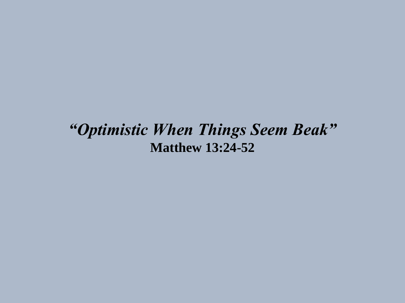#### *"Optimistic When Things Seem Beak"* **Matthew 13:24-52**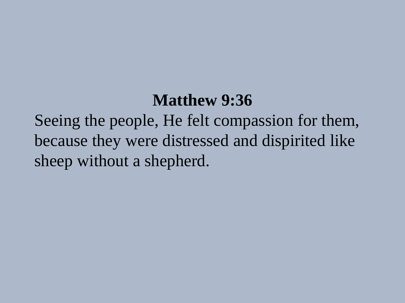# **Matthew 9:36**

Seeing the people, He felt compassion for them, because they were distressed and dispirited like sheep without a shepherd.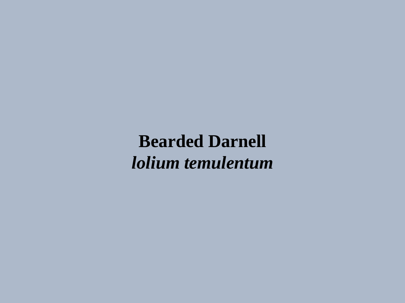**Bearded Darnell** *lolium temulentum*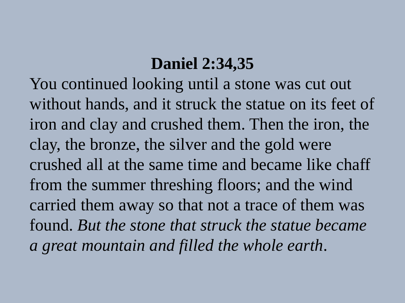# **Daniel 2:34,35**

You continued looking until a stone was cut out without hands, and it struck the statue on its feet of iron and clay and crushed them. Then the iron, the clay, the bronze, the silver and the gold were crushed all at the same time and became like chaff from the summer threshing floors; and the wind carried them away so that not a trace of them was found. *But the stone that struck the statue became a great mountain and filled the whole earth*.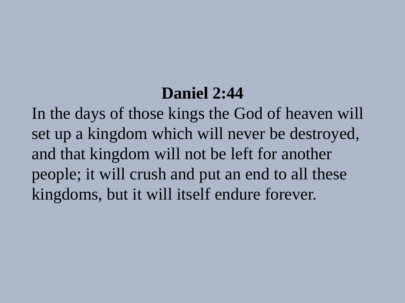# **Daniel 2:44**

In the days of those kings the God of heaven will set up a kingdom which will never be destroyed, and that kingdom will not be left for another people; it will crush and put an end to all these kingdoms, but it will itself endure forever.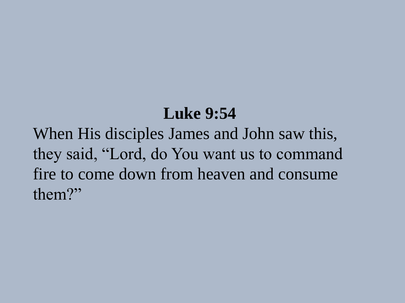# **Luke 9:54**

When His disciples James and John saw this, they said, "Lord, do You want us to command fire to come down from heaven and consume them?"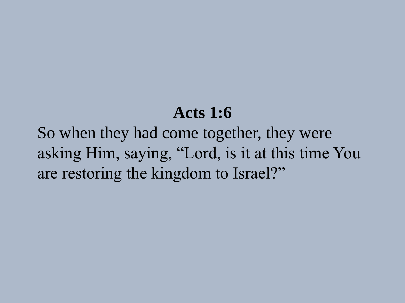### **Acts 1:6**

So when they had come together, they were asking Him, saying, "Lord, is it at this time You are restoring the kingdom to Israel?"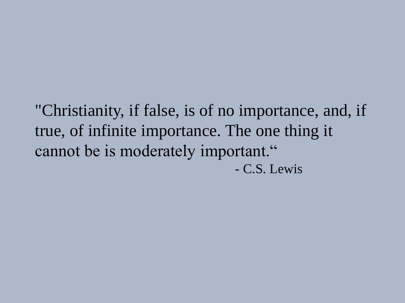"Christianity, if false, is of no importance, and, if true, of infinite importance. The one thing it cannot be is moderately important." - C.S. Lewis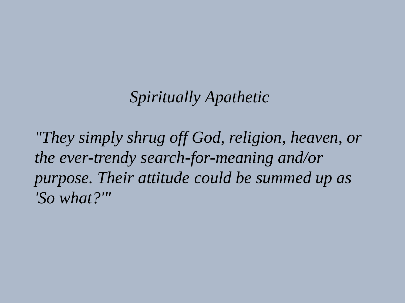### *Spiritually Apathetic*

*"They simply shrug off God, religion, heaven, or the ever-trendy search-for-meaning and/or purpose. Their attitude could be summed up as 'So what?'"*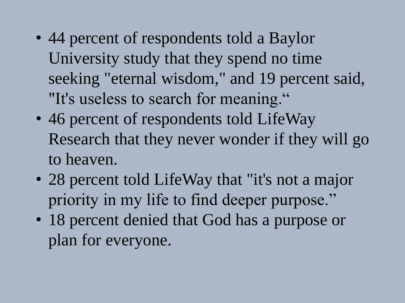- 44 percent of respondents told a Baylor University study that they spend no time seeking "eternal wisdom," and 19 percent said, "It's useless to search for meaning."
- 46 percent of respondents told LifeWay Research that they never wonder if they will go to heaven.
- 28 percent told LifeWay that "it's not a major priority in my life to find deeper purpose."
- 18 percent denied that God has a purpose or plan for everyone.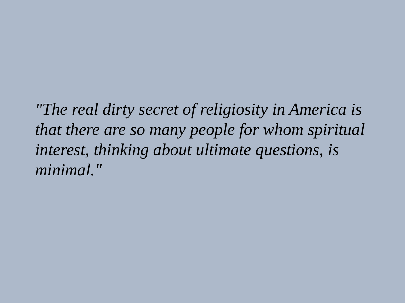*"The real dirty secret of religiosity in America is that there are so many people for whom spiritual interest, thinking about ultimate questions, is minimal."*